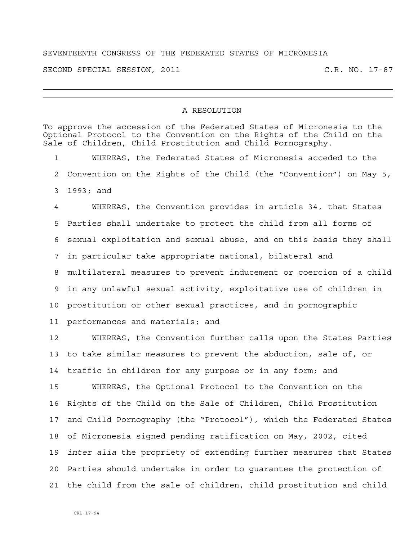## SEVENTEENTH CONGRESS OF THE FEDERATED STATES OF MICRONESIA

SECOND SPECIAL SESSION, 2011 C.R. NO. 17-87

## A RESOLUTION

To approve the accession of the Federated States of Micronesia to the Optional Protocol to the Convention on the Rights of the Child on the Sale of Children, Child Prostitution and Child Pornography. 1 WHEREAS, the Federated States of Micronesia acceded to the 2 Convention on the Rights of the Child (the "Convention") on May 5, 3 1993; and 4 WHEREAS, the Convention provides in article 34, that States 5 Parties shall undertake to protect the child from all forms of 6 sexual exploitation and sexual abuse, and on this basis they shall 7 in particular take appropriate national, bilateral and 8 multilateral measures to prevent inducement or coercion of a child 9 in any unlawful sexual activity, exploitative use of children in 10 prostitution or other sexual practices, and in pornographic 11 performances and materials; and 12 WHEREAS, the Convention further calls upon the States Parties 13 to take similar measures to prevent the abduction, sale of, or 14 traffic in children for any purpose or in any form; and 15 WHEREAS, the Optional Protocol to the Convention on the 16 Rights of the Child on the Sale of Children, Child Prostitution 17 and Child Pornography (the "Protocol"), which the Federated States 18 of Micronesia signed pending ratification on May, 2002, cited 19 *inter alia* the propriety of extending further measures that States

20 Parties should undertake in order to guarantee the protection of 21 the child from the sale of children, child prostitution and child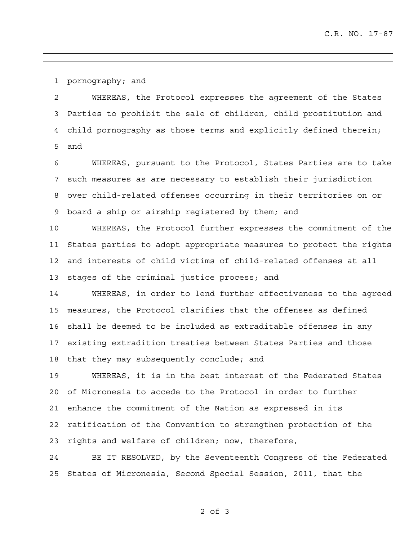1 pornography; and

2 WHEREAS, the Protocol expresses the agreement of the States 3 Parties to prohibit the sale of children, child prostitution and 4 child pornography as those terms and explicitly defined therein; 5 and

6 WHEREAS, pursuant to the Protocol, States Parties are to take 7 such measures as are necessary to establish their jurisdiction 8 over child-related offenses occurring in their territories on or 9 board a ship or airship registered by them; and

10 WHEREAS, the Protocol further expresses the commitment of the 11 States parties to adopt appropriate measures to protect the rights 12 and interests of child victims of child-related offenses at all 13 stages of the criminal justice process; and

14 WHEREAS, in order to lend further effectiveness to the agreed 15 measures, the Protocol clarifies that the offenses as defined 16 shall be deemed to be included as extraditable offenses in any 17 existing extradition treaties between States Parties and those 18 that they may subsequently conclude; and

19 WHEREAS, it is in the best interest of the Federated States 20 of Micronesia to accede to the Protocol in order to further 21 enhance the commitment of the Nation as expressed in its 22 ratification of the Convention to strengthen protection of the 23 rights and welfare of children; now, therefore,

24 BE IT RESOLVED, by the Seventeenth Congress of the Federated 25 States of Micronesia, Second Special Session, 2011, that the